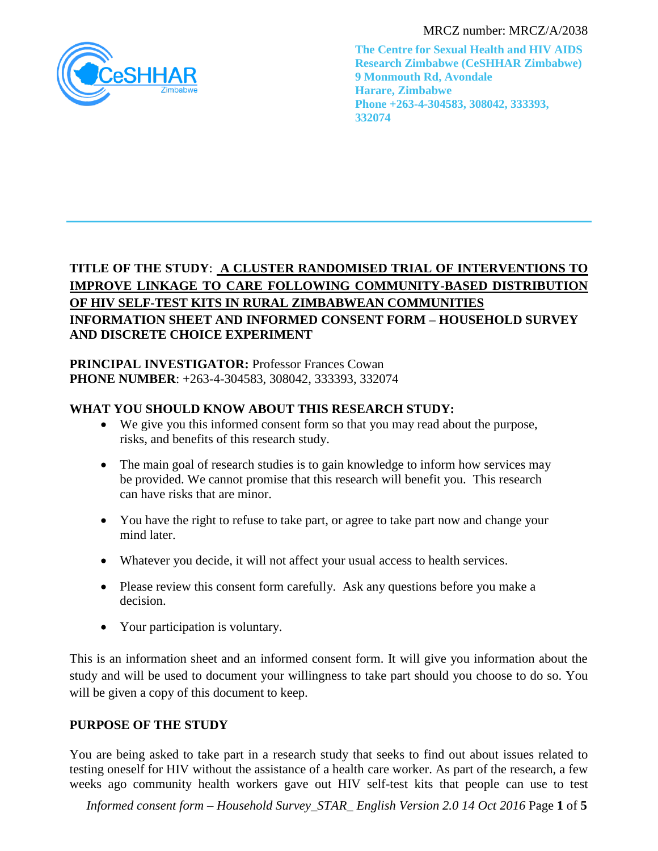

MRCZ number: MRCZ/A/2038

**The Centre for Sexual Health and HIV AIDS Research Zimbabwe (CeSHHAR Zimbabwe) 9 Monmouth Rd, Avondale Harare, Zimbabwe Phone +263-4-304583, 308042, 333393, 332074**

# **TITLE OF THE STUDY**: **A CLUSTER RANDOMISED TRIAL OF INTERVENTIONS TO IMPROVE LINKAGE TO CARE FOLLOWING COMMUNITY-BASED DISTRIBUTION OF HIV SELF-TEST KITS IN RURAL ZIMBABWEAN COMMUNITIES INFORMATION SHEET AND INFORMED CONSENT FORM – HOUSEHOLD SURVEY AND DISCRETE CHOICE EXPERIMENT**

# **PRINCIPAL INVESTIGATOR: Professor Frances Cowan PHONE NUMBER**: +263-4-304583, 308042, 333393, 332074

# **WHAT YOU SHOULD KNOW ABOUT THIS RESEARCH STUDY:**

- We give you this informed consent form so that you may read about the purpose, risks, and benefits of this research study.
- The main goal of research studies is to gain knowledge to inform how services may be provided. We cannot promise that this research will benefit you. This research can have risks that are minor.
- You have the right to refuse to take part, or agree to take part now and change your mind later.
- Whatever you decide, it will not affect your usual access to health services.
- Please review this consent form carefully. Ask any questions before you make a decision.
- Your participation is voluntary.

This is an information sheet and an informed consent form. It will give you information about the study and will be used to document your willingness to take part should you choose to do so. You will be given a copy of this document to keep.

# **PURPOSE OF THE STUDY**

You are being asked to take part in a research study that seeks to find out about issues related to testing oneself for HIV without the assistance of a health care worker. As part of the research, a few weeks ago community health workers gave out HIV self-test kits that people can use to test

*Informed consent form – Household Survey\_STAR\_ English Version 2.0 14 Oct 2016* Page **1** of **5**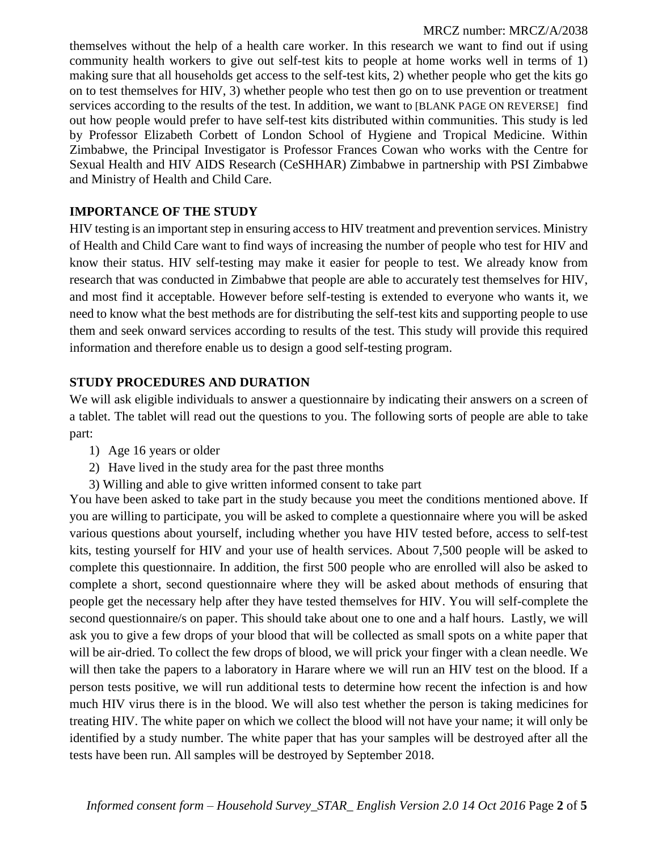themselves without the help of a health care worker. In this research we want to find out if using community health workers to give out self-test kits to people at home works well in terms of 1) making sure that all households get access to the self-test kits, 2) whether people who get the kits go on to test themselves for HIV, 3) whether people who test then go on to use prevention or treatment services according to the results of the test. In addition, we want to [BLANK PAGE ON REVERSE] find out how people would prefer to have self-test kits distributed within communities. This study is led by Professor Elizabeth Corbett of London School of Hygiene and Tropical Medicine. Within Zimbabwe, the Principal Investigator is Professor Frances Cowan who works with the Centre for Sexual Health and HIV AIDS Research (CeSHHAR) Zimbabwe in partnership with PSI Zimbabwe and Ministry of Health and Child Care.

## **IMPORTANCE OF THE STUDY**

HIV testing is an important step in ensuring access to HIV treatment and prevention services. Ministry of Health and Child Care want to find ways of increasing the number of people who test for HIV and know their status. HIV self-testing may make it easier for people to test. We already know from research that was conducted in Zimbabwe that people are able to accurately test themselves for HIV, and most find it acceptable. However before self-testing is extended to everyone who wants it, we need to know what the best methods are for distributing the self-test kits and supporting people to use them and seek onward services according to results of the test. This study will provide this required information and therefore enable us to design a good self-testing program.

## **STUDY PROCEDURES AND DURATION**

We will ask eligible individuals to answer a questionnaire by indicating their answers on a screen of a tablet. The tablet will read out the questions to you. The following sorts of people are able to take part:

- 1) Age 16 years or older
- 2) Have lived in the study area for the past three months
- 3) Willing and able to give written informed consent to take part

You have been asked to take part in the study because you meet the conditions mentioned above. If you are willing to participate, you will be asked to complete a questionnaire where you will be asked various questions about yourself, including whether you have HIV tested before, access to self-test kits, testing yourself for HIV and your use of health services. About 7,500 people will be asked to complete this questionnaire. In addition, the first 500 people who are enrolled will also be asked to complete a short, second questionnaire where they will be asked about methods of ensuring that people get the necessary help after they have tested themselves for HIV. You will self-complete the second questionnaire/s on paper. This should take about one to one and a half hours. Lastly, we will ask you to give a few drops of your blood that will be collected as small spots on a white paper that will be air-dried. To collect the few drops of blood, we will prick your finger with a clean needle. We will then take the papers to a laboratory in Harare where we will run an HIV test on the blood. If a person tests positive, we will run additional tests to determine how recent the infection is and how much HIV virus there is in the blood. We will also test whether the person is taking medicines for treating HIV. The white paper on which we collect the blood will not have your name; it will only be identified by a study number. The white paper that has your samples will be destroyed after all the tests have been run. All samples will be destroyed by September 2018.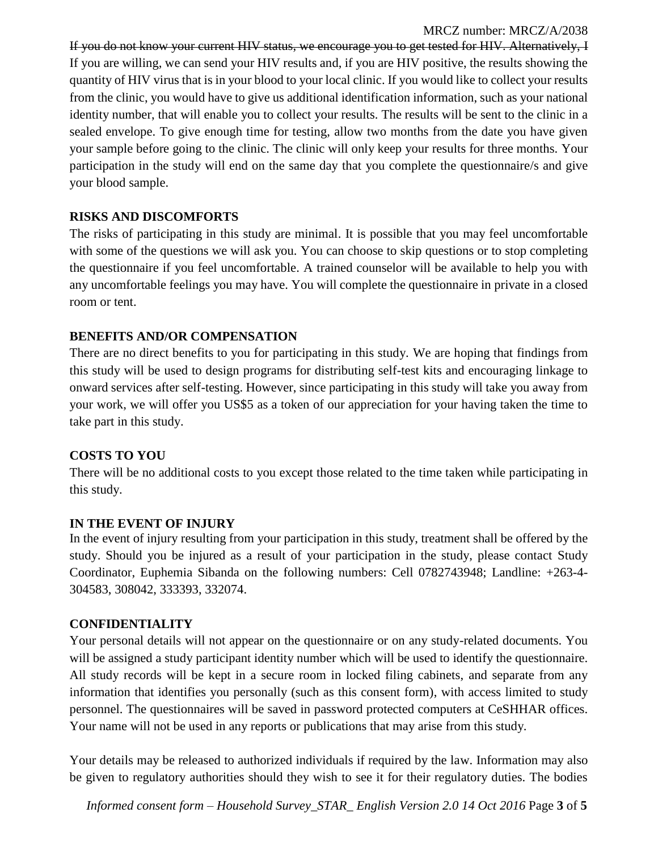If you do not know your current HIV status, we encourage you to get tested for HIV. Alternatively, I If you are willing, we can send your HIV results and, if you are HIV positive, the results showing the quantity of HIV virus that is in your blood to your local clinic. If you would like to collect your results from the clinic, you would have to give us additional identification information, such as your national identity number, that will enable you to collect your results. The results will be sent to the clinic in a sealed envelope. To give enough time for testing, allow two months from the date you have given your sample before going to the clinic. The clinic will only keep your results for three months. Your participation in the study will end on the same day that you complete the questionnaire/s and give your blood sample.

### **RISKS AND DISCOMFORTS**

The risks of participating in this study are minimal. It is possible that you may feel uncomfortable with some of the questions we will ask you. You can choose to skip questions or to stop completing the questionnaire if you feel uncomfortable. A trained counselor will be available to help you with any uncomfortable feelings you may have. You will complete the questionnaire in private in a closed room or tent.

#### **BENEFITS AND/OR COMPENSATION**

There are no direct benefits to you for participating in this study. We are hoping that findings from this study will be used to design programs for distributing self-test kits and encouraging linkage to onward services after self-testing. However, since participating in this study will take you away from your work, we will offer you US\$5 as a token of our appreciation for your having taken the time to take part in this study.

### **COSTS TO YOU**

There will be no additional costs to you except those related to the time taken while participating in this study.

#### **IN THE EVENT OF INJURY**

In the event of injury resulting from your participation in this study, treatment shall be offered by the study. Should you be injured as a result of your participation in the study, please contact Study Coordinator, Euphemia Sibanda on the following numbers: Cell 0782743948; Landline: +263-4- 304583, 308042, 333393, 332074.

#### **CONFIDENTIALITY**

Your personal details will not appear on the questionnaire or on any study-related documents. You will be assigned a study participant identity number which will be used to identify the questionnaire. All study records will be kept in a secure room in locked filing cabinets, and separate from any information that identifies you personally (such as this consent form), with access limited to study personnel. The questionnaires will be saved in password protected computers at CeSHHAR offices. Your name will not be used in any reports or publications that may arise from this study.

Your details may be released to authorized individuals if required by the law. Information may also be given to regulatory authorities should they wish to see it for their regulatory duties. The bodies

*Informed consent form – Household Survey\_STAR\_ English Version 2.0 14 Oct 2016* Page **3** of **5**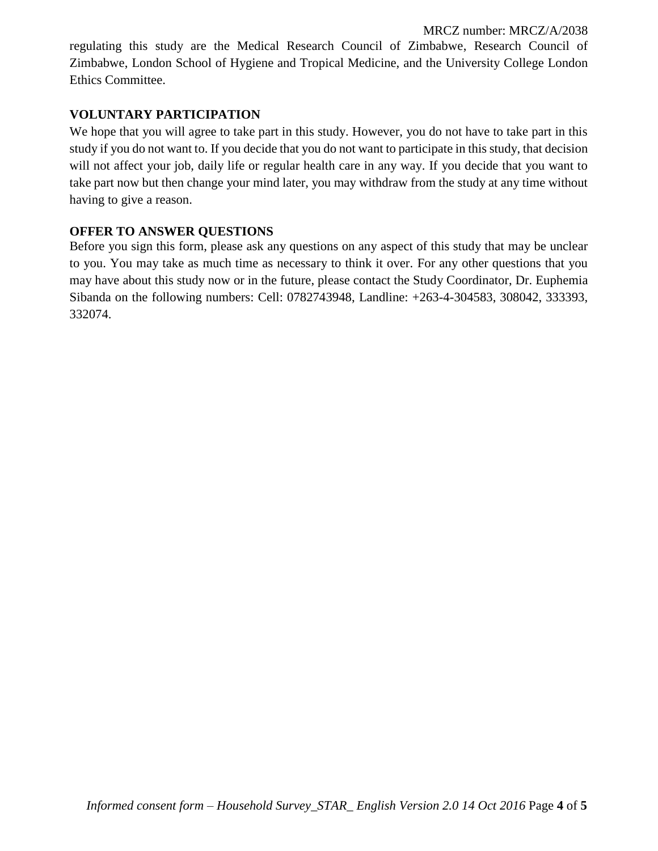regulating this study are the Medical Research Council of Zimbabwe, Research Council of Zimbabwe, London School of Hygiene and Tropical Medicine, and the University College London Ethics Committee.

## **VOLUNTARY PARTICIPATION**

We hope that you will agree to take part in this study. However, you do not have to take part in this study if you do not want to. If you decide that you do not want to participate in this study, that decision will not affect your job, daily life or regular health care in any way. If you decide that you want to take part now but then change your mind later, you may withdraw from the study at any time without having to give a reason.

### **OFFER TO ANSWER QUESTIONS**

Before you sign this form, please ask any questions on any aspect of this study that may be unclear to you. You may take as much time as necessary to think it over. For any other questions that you may have about this study now or in the future, please contact the Study Coordinator, Dr. Euphemia Sibanda on the following numbers: Cell: 0782743948, Landline: +263-4-304583, 308042, 333393, 332074.